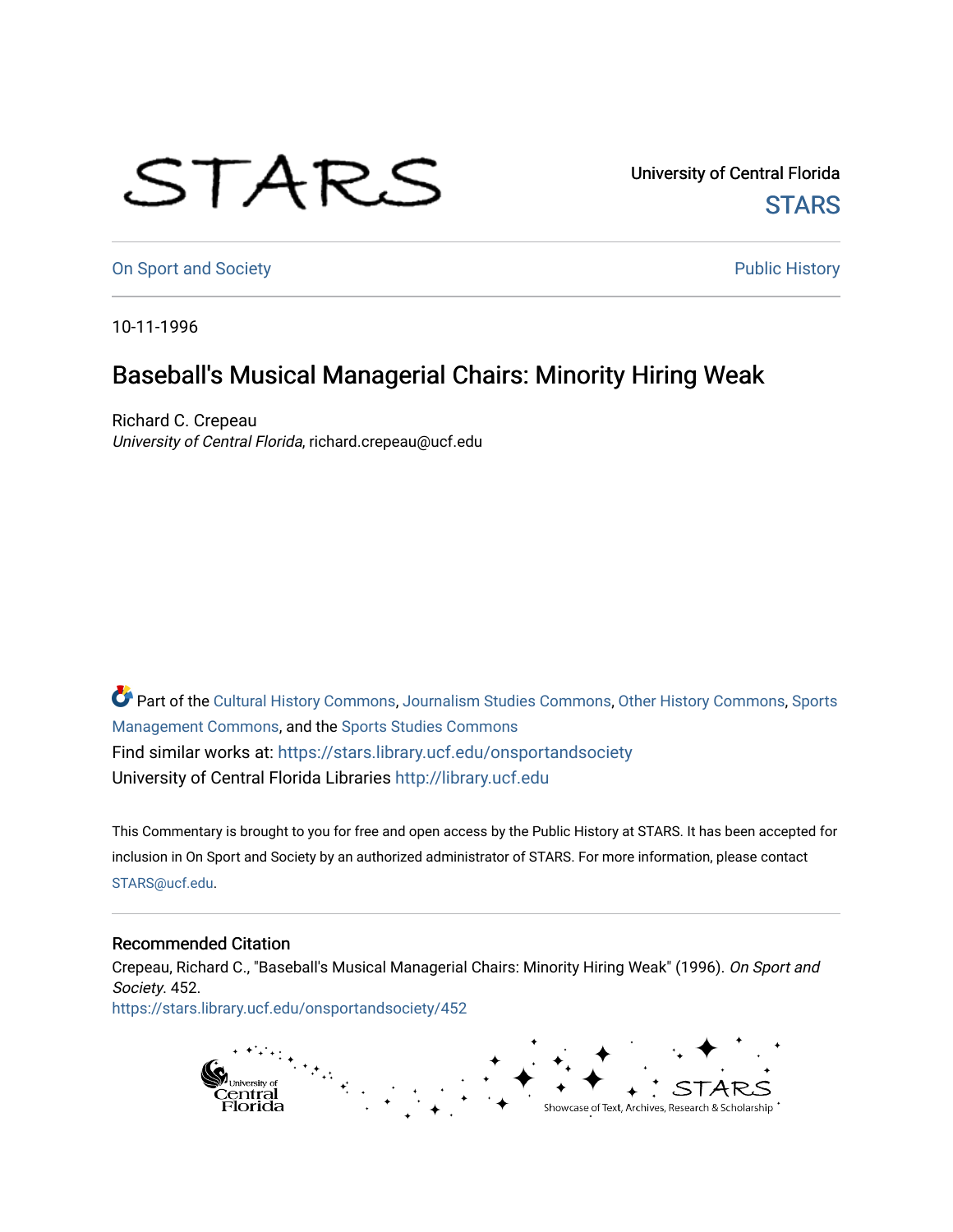## STARS

University of Central Florida **STARS** 

[On Sport and Society](https://stars.library.ucf.edu/onsportandsociety) **Public History** Public History

10-11-1996

## Baseball's Musical Managerial Chairs: Minority Hiring Weak

Richard C. Crepeau University of Central Florida, richard.crepeau@ucf.edu

Part of the [Cultural History Commons](http://network.bepress.com/hgg/discipline/496?utm_source=stars.library.ucf.edu%2Fonsportandsociety%2F452&utm_medium=PDF&utm_campaign=PDFCoverPages), [Journalism Studies Commons,](http://network.bepress.com/hgg/discipline/333?utm_source=stars.library.ucf.edu%2Fonsportandsociety%2F452&utm_medium=PDF&utm_campaign=PDFCoverPages) [Other History Commons,](http://network.bepress.com/hgg/discipline/508?utm_source=stars.library.ucf.edu%2Fonsportandsociety%2F452&utm_medium=PDF&utm_campaign=PDFCoverPages) [Sports](http://network.bepress.com/hgg/discipline/1193?utm_source=stars.library.ucf.edu%2Fonsportandsociety%2F452&utm_medium=PDF&utm_campaign=PDFCoverPages) [Management Commons](http://network.bepress.com/hgg/discipline/1193?utm_source=stars.library.ucf.edu%2Fonsportandsociety%2F452&utm_medium=PDF&utm_campaign=PDFCoverPages), and the [Sports Studies Commons](http://network.bepress.com/hgg/discipline/1198?utm_source=stars.library.ucf.edu%2Fonsportandsociety%2F452&utm_medium=PDF&utm_campaign=PDFCoverPages) Find similar works at: <https://stars.library.ucf.edu/onsportandsociety> University of Central Florida Libraries [http://library.ucf.edu](http://library.ucf.edu/) 

This Commentary is brought to you for free and open access by the Public History at STARS. It has been accepted for inclusion in On Sport and Society by an authorized administrator of STARS. For more information, please contact [STARS@ucf.edu](mailto:STARS@ucf.edu).

## Recommended Citation

Crepeau, Richard C., "Baseball's Musical Managerial Chairs: Minority Hiring Weak" (1996). On Sport and Society. 452.

[https://stars.library.ucf.edu/onsportandsociety/452](https://stars.library.ucf.edu/onsportandsociety/452?utm_source=stars.library.ucf.edu%2Fonsportandsociety%2F452&utm_medium=PDF&utm_campaign=PDFCoverPages)

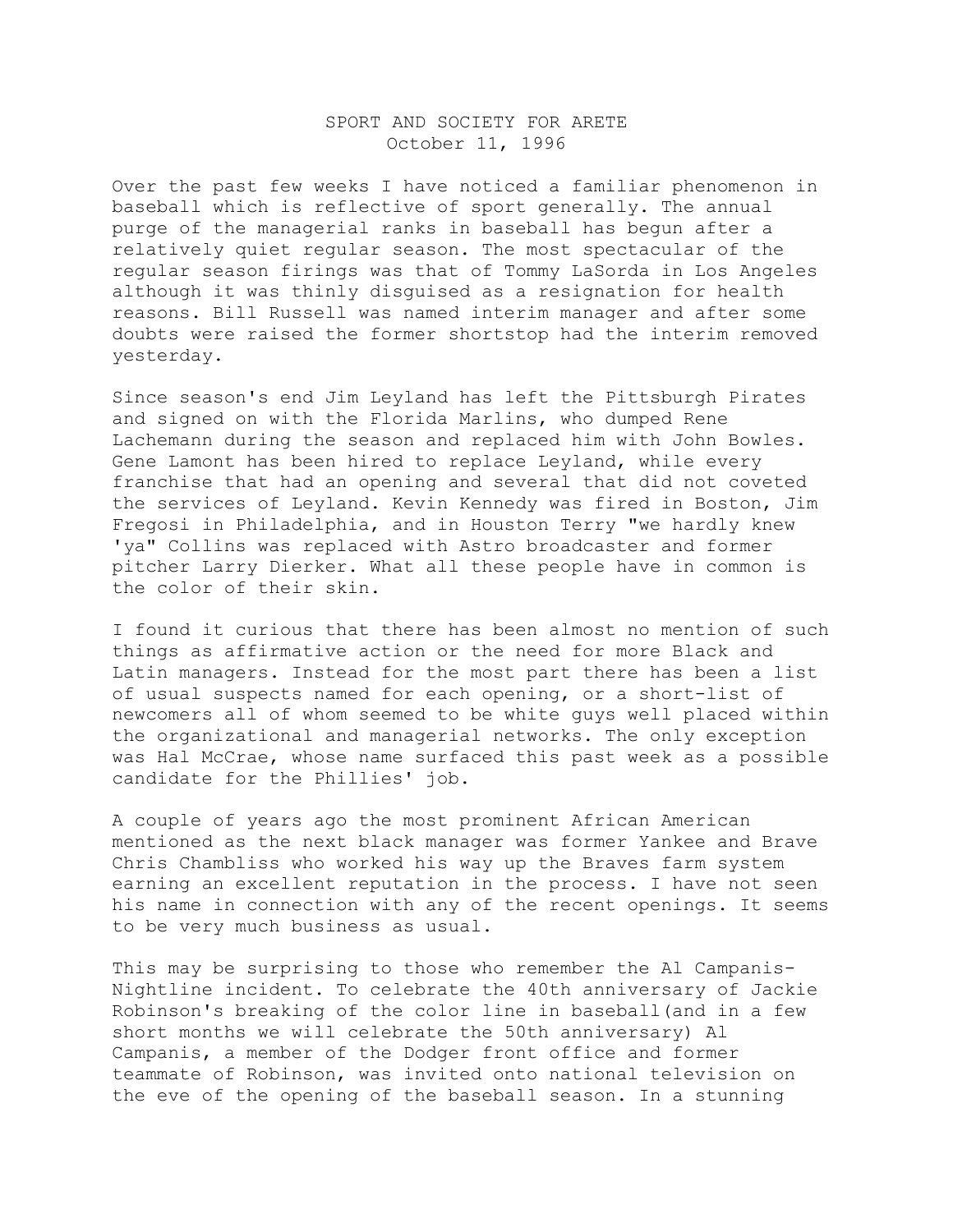## SPORT AND SOCIETY FOR ARETE October 11, 1996

Over the past few weeks I have noticed a familiar phenomenon in baseball which is reflective of sport generally. The annual purge of the managerial ranks in baseball has begun after a relatively quiet regular season. The most spectacular of the regular season firings was that of Tommy LaSorda in Los Angeles although it was thinly disguised as a resignation for health reasons. Bill Russell was named interim manager and after some doubts were raised the former shortstop had the interim removed yesterday.

Since season's end Jim Leyland has left the Pittsburgh Pirates and signed on with the Florida Marlins, who dumped Rene Lachemann during the season and replaced him with John Bowles. Gene Lamont has been hired to replace Leyland, while every franchise that had an opening and several that did not coveted the services of Leyland. Kevin Kennedy was fired in Boston, Jim Fregosi in Philadelphia, and in Houston Terry "we hardly knew 'ya" Collins was replaced with Astro broadcaster and former pitcher Larry Dierker. What all these people have in common is the color of their skin.

I found it curious that there has been almost no mention of such things as affirmative action or the need for more Black and Latin managers. Instead for the most part there has been a list of usual suspects named for each opening, or a short-list of newcomers all of whom seemed to be white guys well placed within the organizational and managerial networks. The only exception was Hal McCrae, whose name surfaced this past week as a possible candidate for the Phillies' job.

A couple of years ago the most prominent African American mentioned as the next black manager was former Yankee and Brave Chris Chambliss who worked his way up the Braves farm system earning an excellent reputation in the process. I have not seen his name in connection with any of the recent openings. It seems to be very much business as usual.

This may be surprising to those who remember the Al Campanis-Nightline incident. To celebrate the 40th anniversary of Jackie Robinson's breaking of the color line in baseball(and in a few short months we will celebrate the 50th anniversary) Al Campanis, a member of the Dodger front office and former teammate of Robinson, was invited onto national television on the eve of the opening of the baseball season. In a stunning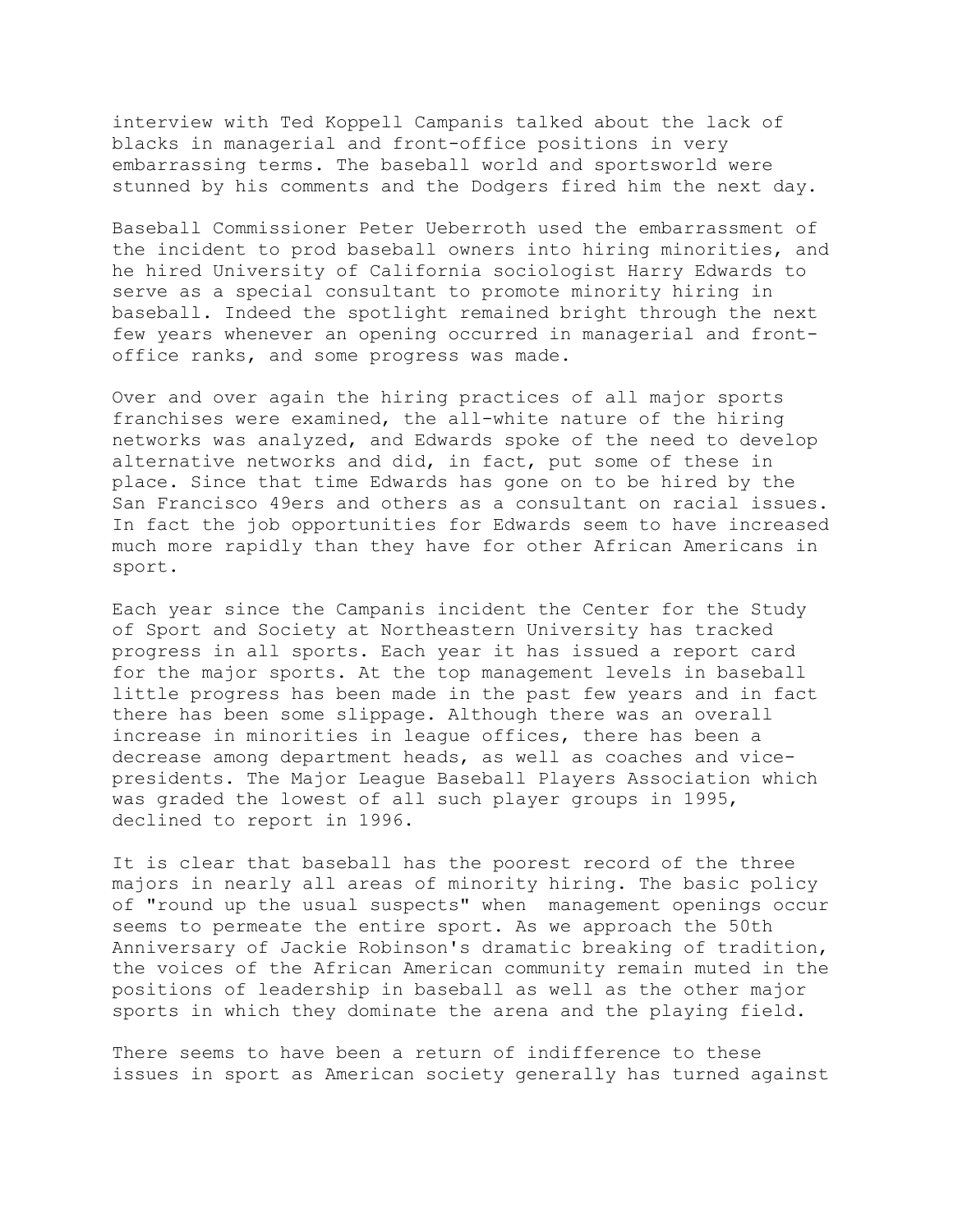interview with Ted Koppell Campanis talked about the lack of blacks in managerial and front-office positions in very embarrassing terms. The baseball world and sportsworld were stunned by his comments and the Dodgers fired him the next day.

Baseball Commissioner Peter Ueberroth used the embarrassment of the incident to prod baseball owners into hiring minorities, and he hired University of California sociologist Harry Edwards to serve as a special consultant to promote minority hiring in baseball. Indeed the spotlight remained bright through the next few years whenever an opening occurred in managerial and frontoffice ranks, and some progress was made.

Over and over again the hiring practices of all major sports franchises were examined, the all-white nature of the hiring networks was analyzed, and Edwards spoke of the need to develop alternative networks and did, in fact, put some of these in place. Since that time Edwards has gone on to be hired by the San Francisco 49ers and others as a consultant on racial issues. In fact the job opportunities for Edwards seem to have increased much more rapidly than they have for other African Americans in sport.

Each year since the Campanis incident the Center for the Study of Sport and Society at Northeastern University has tracked progress in all sports. Each year it has issued a report card for the major sports. At the top management levels in baseball little progress has been made in the past few years and in fact there has been some slippage. Although there was an overall increase in minorities in league offices, there has been a decrease among department heads, as well as coaches and vicepresidents. The Major League Baseball Players Association which was graded the lowest of all such player groups in 1995, declined to report in 1996.

It is clear that baseball has the poorest record of the three majors in nearly all areas of minority hiring. The basic policy of "round up the usual suspects" when management openings occur seems to permeate the entire sport. As we approach the 50th Anniversary of Jackie Robinson's dramatic breaking of tradition, the voices of the African American community remain muted in the positions of leadership in baseball as well as the other major sports in which they dominate the arena and the playing field.

There seems to have been a return of indifference to these issues in sport as American society generally has turned against